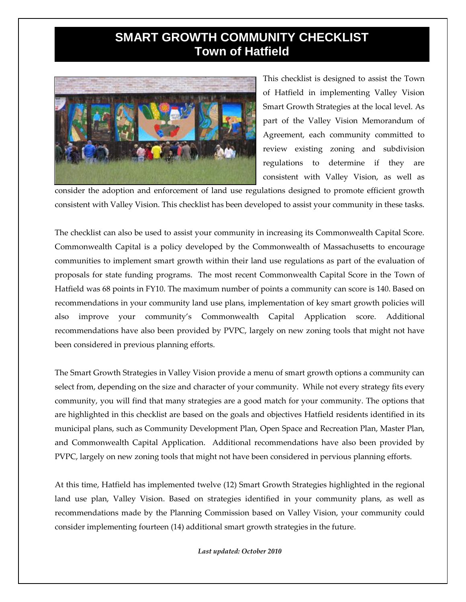## **SMART GROWTH COMMUNITY CHECKLIST Town of Hatfield**



This checklist is designed to assist the Town of Hatfield in implementing Valley Vision Smart Growth Strategies at the local level. As part of the Valley Vision Memorandum of Agreement, each community committed to review existing zoning and subdivision regulations to determine if they are consistent with Valley Vision, as well as

consider the adoption and enforcement of land use regulations designed to promote efficient growth consistent with Valley Vision. This checklist has been developed to assist your community in these tasks.

The checklist can also be used to assist your community in increasing its Commonwealth Capital Score. Commonwealth Capital is a policy developed by the Commonwealth of Massachusetts to encourage communities to implement smart growth within their land use regulations as part of the evaluation of proposals for state funding programs. The most recent Commonwealth Capital Score in the Town of Hatfield was 68 points in FY10. The maximum number of points a community can score is 140. Based on recommendations in your community land use plans, implementation of key smart growth policies will also improve your community's Commonwealth Capital Application score. Additional recommendations have also been provided by PVPC, largely on new zoning tools that might not have been considered in previous planning efforts.

The Smart Growth Strategies in Valley Vision provide a menu of smart growth options a community can select from, depending on the size and character of your community. While not every strategy fits every community, you will find that many strategies are a good match for your community. The options that are highlighted in this checklist are based on the goals and objectives Hatfield residents identified in its municipal plans, such as Community Development Plan, Open Space and Recreation Plan, Master Plan, and Commonwealth Capital Application. Additional recommendations have also been provided by PVPC, largely on new zoning tools that might not have been considered in pervious planning efforts.

At this time, Hatfield has implemented twelve (12) Smart Growth Strategies highlighted in the regional land use plan, Valley Vision. Based on strategies identified in your community plans, as well as recommendations made by the Planning Commission based on Valley Vision, your community could consider implementing fourteen (14) additional smart growth strategies in the future.

*Last updated: October 2010*